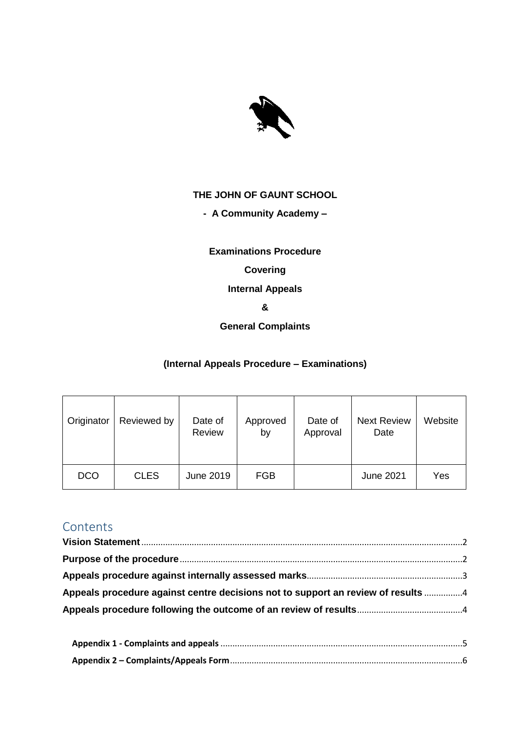

### **THE JOHN OF GAUNT SCHOOL**

### **- A Community Academy –**

**Examinations Procedure**

### **Covering**

**Internal Appeals**

**&**

### **General Complaints**

### **(Internal Appeals Procedure – Examinations)**

| Originator | Reviewed by | Date of<br>Review | Approved<br>by | Date of<br>Approval | <b>Next Review</b><br>Date | Website |
|------------|-------------|-------------------|----------------|---------------------|----------------------------|---------|
| <b>DCO</b> | <b>CLES</b> | June 2019         | <b>FGB</b>     |                     | June 2021                  | Yes     |

# **Contents**

| Appeals procedure against centre decisions not to support an review of results 4 |  |
|----------------------------------------------------------------------------------|--|
|                                                                                  |  |
|                                                                                  |  |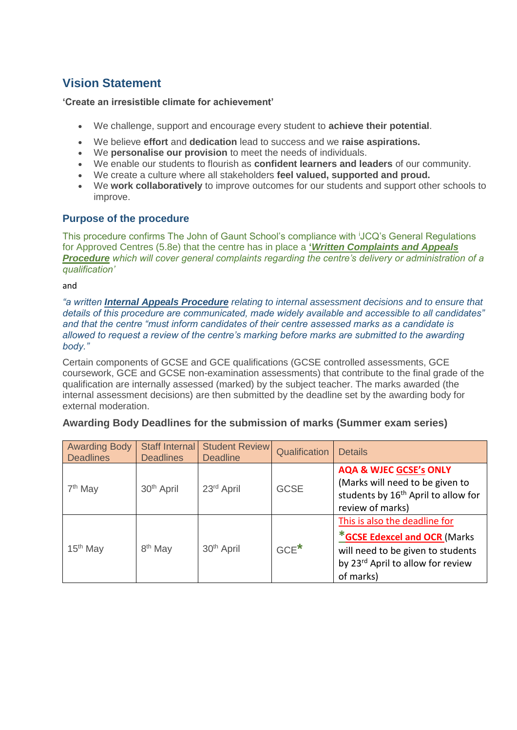## <span id="page-1-0"></span>**Vision Statement**

### **'Create an irresistible climate for achievement'**

- We challenge, support and encourage every student to **achieve their potential**.
- We believe **effort** and **dedication** lead to success and we **raise aspirations.**
- We **personalise our provision** to meet the needs of individuals.
- We enable our students to flourish as **confident learners and leaders** of our community.
- We create a culture where all stakeholders **feel valued, supported and proud.**
- We **work collaboratively** to improve outcomes for our students and support other schools to improve.

### <span id="page-1-1"></span>**Purpose of the procedure**

This procedure confirms The John of Gaunt School's compliance with <sup>i</sup>JCQ's General Regulations for Approved Centres (5.8e) that the centre has in place a **'***Written Complaints and Appeals Procedure which will cover general complaints regarding the centre's delivery or administration of a qualification'*

and

*"a written Internal Appeals Procedure relating to internal assessment decisions and to ensure that details of this procedure are communicated, made widely available and accessible to all candidates" and that the centre "must inform candidates of their centre assessed marks as a candidate is allowed to request a review of the centre's marking before marks are submitted to the awarding body."* 

Certain components of GCSE and GCE qualifications (GCSE controlled assessments, GCE coursework, GCE and GCSE non-examination assessments) that contribute to the final grade of the qualification are internally assessed (marked) by the subject teacher. The marks awarded (the internal assessment decisions) are then submitted by the deadline set by the awarding body for external moderation.

| <b>Awarding Body</b><br><b>Deadlines</b> | <b>Staff Internal</b><br><b>Deadlines</b> | <b>Student Review</b><br><b>Deadline</b> | Qualification | <b>Details</b>                                                                                                                                       |
|------------------------------------------|-------------------------------------------|------------------------------------------|---------------|------------------------------------------------------------------------------------------------------------------------------------------------------|
| $7th$ May                                | 30 <sup>th</sup> April                    | 23 <sup>rd</sup> April                   | <b>GCSE</b>   | <b>AQA &amp; WJEC GCSE's ONLY</b><br>(Marks will need to be given to<br>students by 16 <sup>th</sup> April to allow for<br>review of marks)          |
| $15th$ May                               | 8 <sup>th</sup> May                       | 30 <sup>th</sup> April                   | $GCE^*$       | This is also the deadline for<br>*GCSE Edexcel and OCR (Marks<br>will need to be given to students<br>by 23rd April to allow for review<br>of marks) |

### **Awarding Body Deadlines for the submission of marks (Summer exam series)**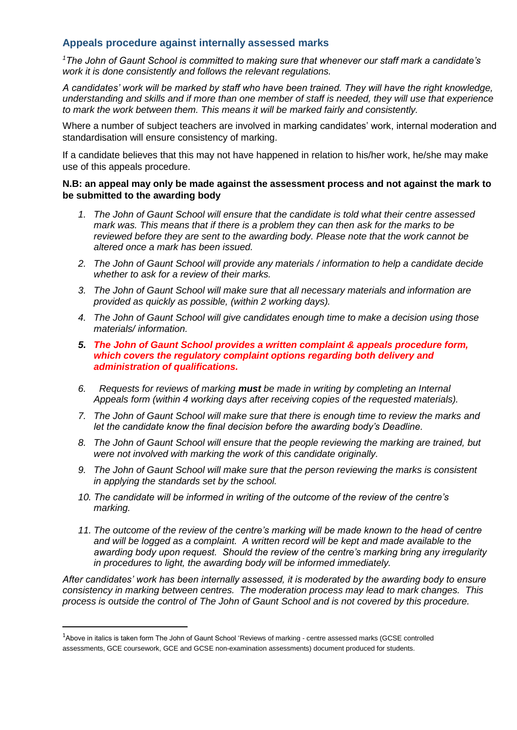#### <span id="page-2-0"></span>**Appeals procedure against internally assessed marks**

*<sup>1</sup>The John of Gaunt School is committed to making sure that whenever our staff mark a candidate's work it is done consistently and follows the relevant regulations.*

*A candidates' work will be marked by staff who have been trained. They will have the right knowledge, understanding and skills and if more than one member of staff is needed, they will use that experience to mark the work between them. This means it will be marked fairly and consistently.*

Where a number of subject teachers are involved in marking candidates' work, internal moderation and standardisation will ensure consistency of marking.

If a candidate believes that this may not have happened in relation to his/her work, he/she may make use of this appeals procedure.

#### **N.B: an appeal may only be made against the assessment process and not against the mark to be submitted to the awarding body**

- *1. The John of Gaunt School will ensure that the candidate is told what their centre assessed mark was. This means that if there is a problem they can then ask for the marks to be reviewed before they are sent to the awarding body. Please note that the work cannot be altered once a mark has been issued.*
- *2. The John of Gaunt School will provide any materials / information to help a candidate decide whether to ask for a review of their marks.*
- *3. The John of Gaunt School will make sure that all necessary materials and information are provided as quickly as possible, (within 2 working days).*
- *4. The John of Gaunt School will give candidates enough time to make a decision using those materials/ information.*
- *5. The John of Gaunt School provides a written complaint & appeals procedure form, which covers the regulatory complaint options regarding both delivery and administration of qualifications.*
- *6. Requests for reviews of marking must be made in writing by completing an Internal Appeals form (within 4 working days after receiving copies of the requested materials).*
- *7. The John of Gaunt School will make sure that there is enough time to review the marks and let the candidate know the final decision before the awarding body's Deadline.*
- *8. The John of Gaunt School will ensure that the people reviewing the marking are trained, but were not involved with marking the work of this candidate originally.*
- *9. The John of Gaunt School will make sure that the person reviewing the marks is consistent in applying the standards set by the school.*
- *10. The candidate will be informed in writing of the outcome of the review of the centre's marking.*
- *11. The outcome of the review of the centre's marking will be made known to the head of centre and will be logged as a complaint. A written record will be kept and made available to the awarding body upon request. Should the review of the centre's marking bring any irregularity in procedures to light, the awarding body will be informed immediately.*

*After candidates' work has been internally assessed, it is moderated by the awarding body to ensure consistency in marking between centres. The moderation process may lead to mark changes. This process is outside the control of The John of Gaunt School and is not covered by this procedure.* 

**.** 

<sup>&</sup>lt;sup>1</sup>Above in italics is taken form The John of Gaunt School 'Reviews of marking - centre assessed marks (GCSE controlled assessments, GCE coursework, GCE and GCSE non-examination assessments) document produced for students.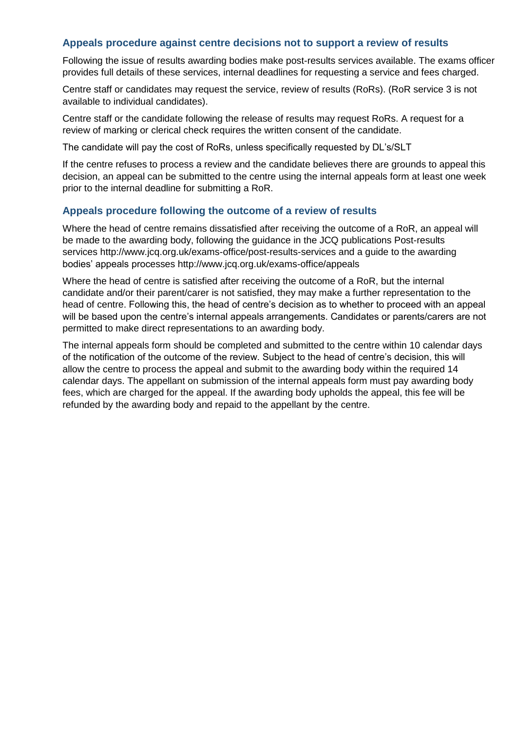### <span id="page-3-0"></span>**Appeals procedure against centre decisions not to support a review of results**

Following the issue of results awarding bodies make post-results services available. The exams officer provides full details of these services, internal deadlines for requesting a service and fees charged.

Centre staff or candidates may request the service, review of results (RoRs). (RoR service 3 is not available to individual candidates).

Centre staff or the candidate following the release of results may request RoRs. A request for a review of marking or clerical check requires the written consent of the candidate.

The candidate will pay the cost of RoRs, unless specifically requested by DL's/SLT

If the centre refuses to process a review and the candidate believes there are grounds to appeal this decision, an appeal can be submitted to the centre using the internal appeals form at least one week prior to the internal deadline for submitting a RoR.

### <span id="page-3-1"></span>**Appeals procedure following the outcome of a review of results**

Where the head of centre remains dissatisfied after receiving the outcome of a RoR, an appeal will be made to the awarding body, following the guidance in the JCQ publications Post-results services http://www.jcq.org.uk/exams-office/post-results-services and a guide to the awarding bodies' appeals processes http://www.jcq.org.uk/exams-office/appeals

Where the head of centre is satisfied after receiving the outcome of a RoR, but the internal candidate and/or their parent/carer is not satisfied, they may make a further representation to the head of centre. Following this, the head of centre's decision as to whether to proceed with an appeal will be based upon the centre's internal appeals arrangements. Candidates or parents/carers are not permitted to make direct representations to an awarding body.

The internal appeals form should be completed and submitted to the centre within 10 calendar days of the notification of the outcome of the review. Subject to the head of centre's decision, this will allow the centre to process the appeal and submit to the awarding body within the required 14 calendar days. The appellant on submission of the internal appeals form must pay awarding body fees, which are charged for the appeal. If the awarding body upholds the appeal, this fee will be refunded by the awarding body and repaid to the appellant by the centre.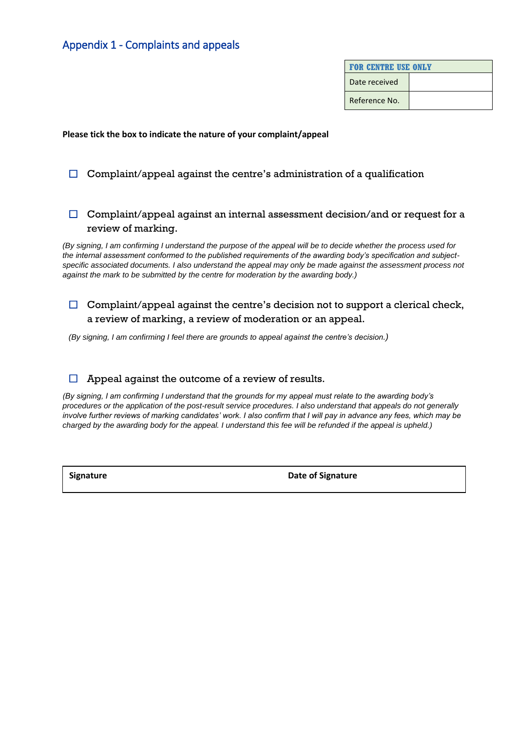### <span id="page-4-0"></span>Appendix 1 - Complaints and appeals

| <b>FOR CENTRE USE ONLY</b> |  |  |
|----------------------------|--|--|
| Date received              |  |  |
| Reference No.              |  |  |

**Please tick the box to indicate the nature of your complaint/appeal**

### $\Box$  Complaint/appeal against the centre's administration of a qualification

### $\Box$  Complaint/appeal against an internal assessment decision/and or request for a review of marking.

*(By signing, I am confirming I understand the purpose of the appeal will be to decide whether the process used for the internal assessment conformed to the published requirements of the awarding body's specification and subject*specific associated documents. I also understand the appeal may only be made against the assessment process not *against the mark to be submitted by the centre for moderation by the awarding body.)*

### $\Box$  Complaint/appeal against the centre's decision not to support a clerical check, a review of marking, a review of moderation or an appeal.

*(By signing, I am confirming I feel there are grounds to appeal against the centre's decision.)*

#### $\Box$  Appeal against the outcome of a review of results.

*(By signing, I am confirming I understand that the grounds for my appeal must relate to the awarding body's procedures or the application of the post-result service procedures. I also understand that appeals do not generally*  involve further reviews of marking candidates' work. I also confirm that I will pay in advance any fees, which may be *charged by the awarding body for the appeal. I understand this fee will be refunded if the appeal is upheld.)*

**Signature Date of Signature**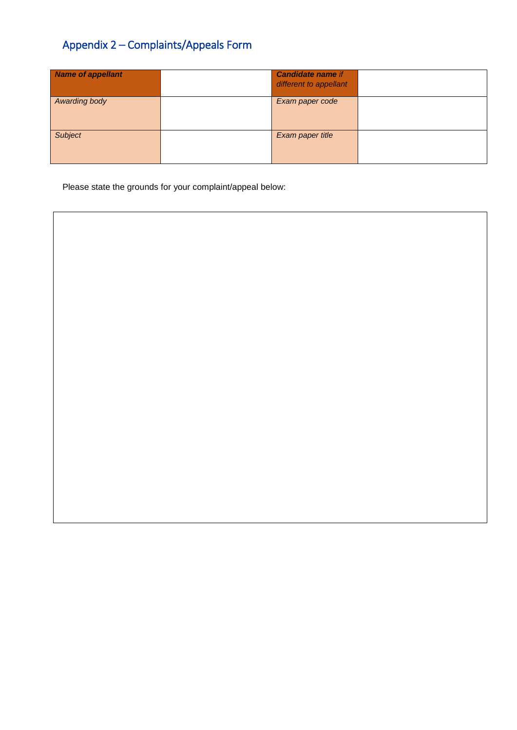# <span id="page-5-0"></span>Appendix 2 – Complaints/Appeals Form

| Name of appellant | <b>Candidate name if</b><br>different to appellant |  |
|-------------------|----------------------------------------------------|--|
| Awarding body     | Exam paper code                                    |  |
| <b>Subject</b>    | Exam paper title                                   |  |

Please state the grounds for your complaint/appeal below: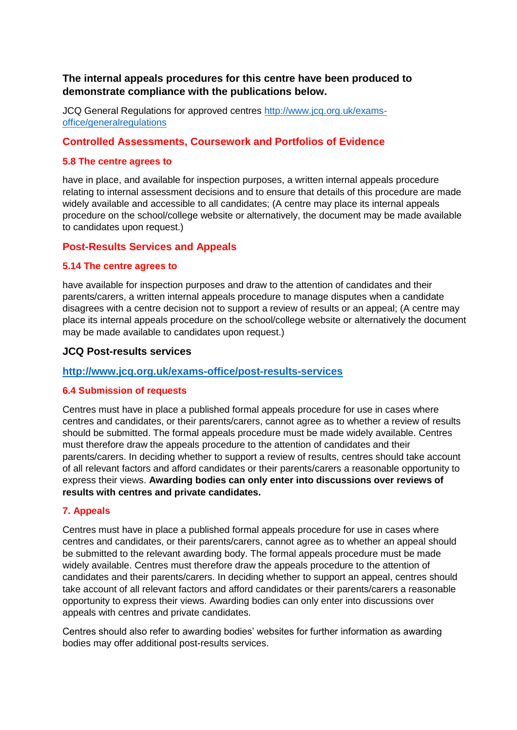### **The internal appeals procedures for this centre have been produced to demonstrate compliance with the publications below.**

JCQ General Regulations for approved centres [http://www.jcq.org.uk/exams](http://www.jcq.org.uk/exams-office/generalregulations)[office/generalregulations](http://www.jcq.org.uk/exams-office/generalregulations)

### **Controlled Assessments, Coursework and Portfolios of Evidence**

#### **5.8 The centre agrees to**

have in place, and available for inspection purposes, a written internal appeals procedure relating to internal assessment decisions and to ensure that details of this procedure are made widely available and accessible to all candidates; (A centre may place its internal appeals procedure on the school/college website or alternatively, the document may be made available to candidates upon request.)

### **Post-Results Services and Appeals**

#### **5.14 The centre agrees to**

have available for inspection purposes and draw to the attention of candidates and their parents/carers, a written internal appeals procedure to manage disputes when a candidate disagrees with a centre decision not to support a review of results or an appeal; (A centre may place its internal appeals procedure on the school/college website or alternatively the document may be made available to candidates upon request.)

#### **JCQ Post-results services**

#### **<http://www.jcq.org.uk/exams-office/post-results-services>**

#### **6.4 Submission of requests**

Centres must have in place a published formal appeals procedure for use in cases where centres and candidates, or their parents/carers, cannot agree as to whether a review of results should be submitted. The formal appeals procedure must be made widely available. Centres must therefore draw the appeals procedure to the attention of candidates and their parents/carers. In deciding whether to support a review of results, centres should take account of all relevant factors and afford candidates or their parents/carers a reasonable opportunity to express their views. **Awarding bodies can only enter into discussions over reviews of results with centres and private candidates.**

#### **7. Appeals**

Centres must have in place a published formal appeals procedure for use in cases where centres and candidates, or their parents/carers, cannot agree as to whether an appeal should be submitted to the relevant awarding body. The formal appeals procedure must be made widely available. Centres must therefore draw the appeals procedure to the attention of candidates and their parents/carers. In deciding whether to support an appeal, centres should take account of all relevant factors and afford candidates or their parents/carers a reasonable opportunity to express their views. Awarding bodies can only enter into discussions over appeals with centres and private candidates.

Centres should also refer to awarding bodies' websites for further information as awarding bodies may offer additional post-results services.